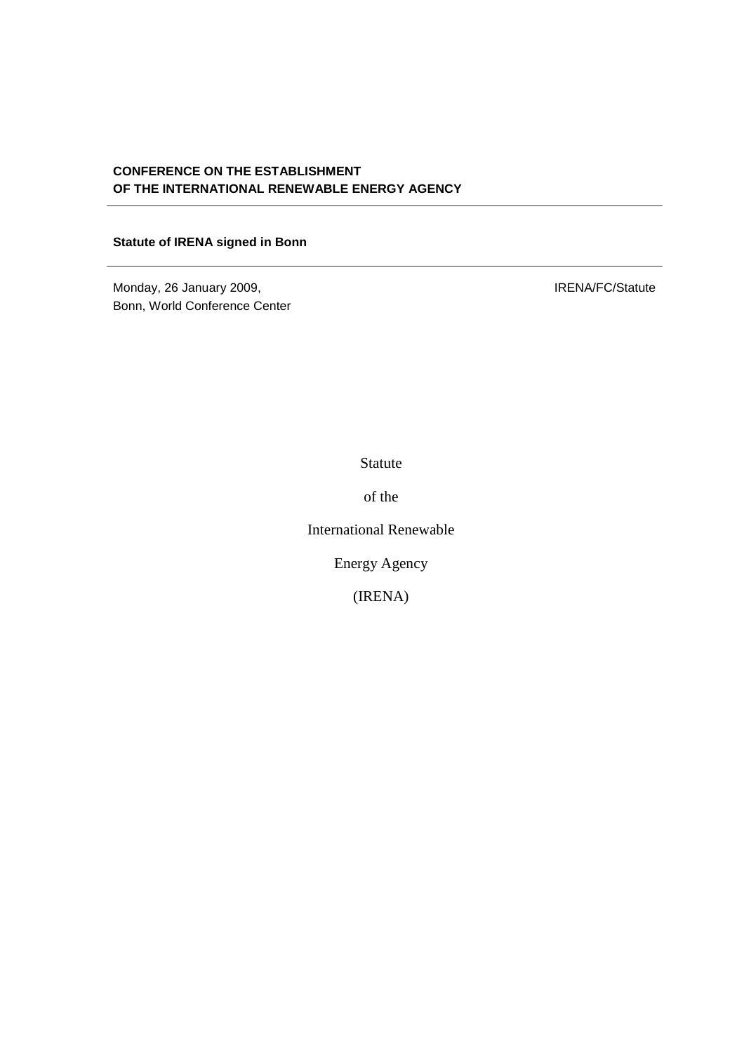# **CONFERENCE ON THE ESTABLISHMENT OF THE INTERNATIONAL RENEWABLE ENERGY AGENCY**

### **Statute of IRENA signed in Bonn**

Monday, 26 January 2009, Bonn, World Conference Center IRENA/FC/Statute

Statute

of the

International Renewable

Energy Agency

(IRENA)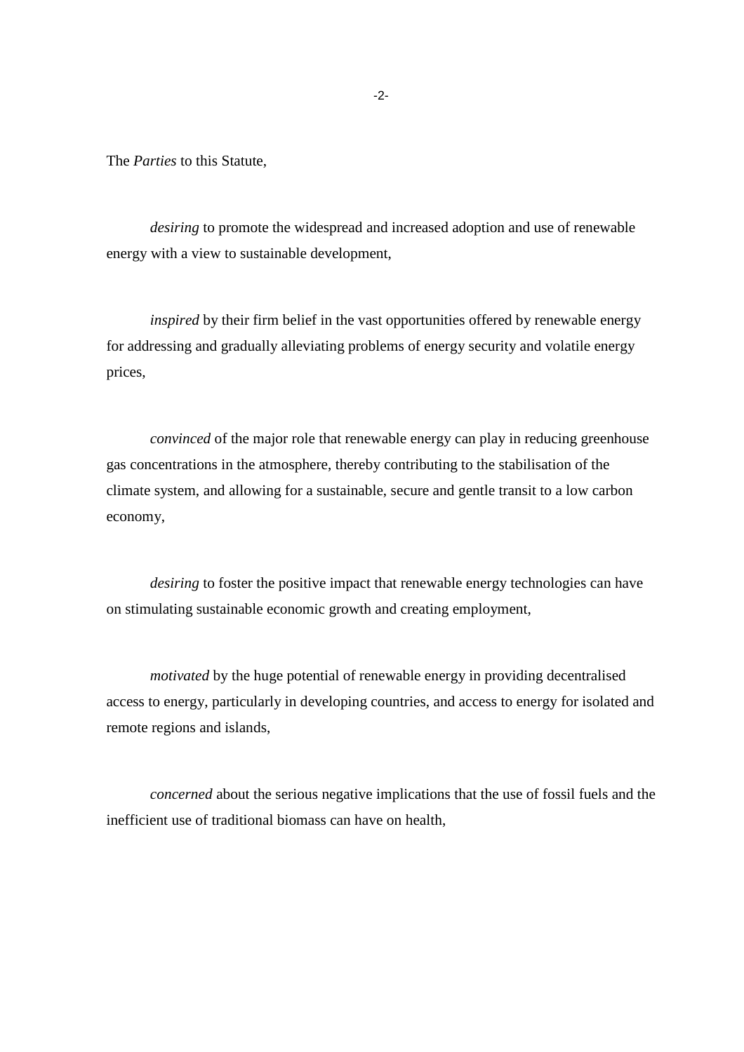The *Parties* to this Statute,

*desiring* to promote the widespread and increased adoption and use of renewable energy with a view to sustainable development,

*inspired* by their firm belief in the vast opportunities offered by renewable energy for addressing and gradually alleviating problems of energy security and volatile energy prices,

*convinced* of the major role that renewable energy can play in reducing greenhouse gas concentrations in the atmosphere, thereby contributing to the stabilisation of the climate system, and allowing for a sustainable, secure and gentle transit to a low carbon economy,

*desiring* to foster the positive impact that renewable energy technologies can have on stimulating sustainable economic growth and creating employment,

*motivated* by the huge potential of renewable energy in providing decentralised access to energy, particularly in developing countries, and access to energy for isolated and remote regions and islands,

*concerned* about the serious negative implications that the use of fossil fuels and the inefficient use of traditional biomass can have on health,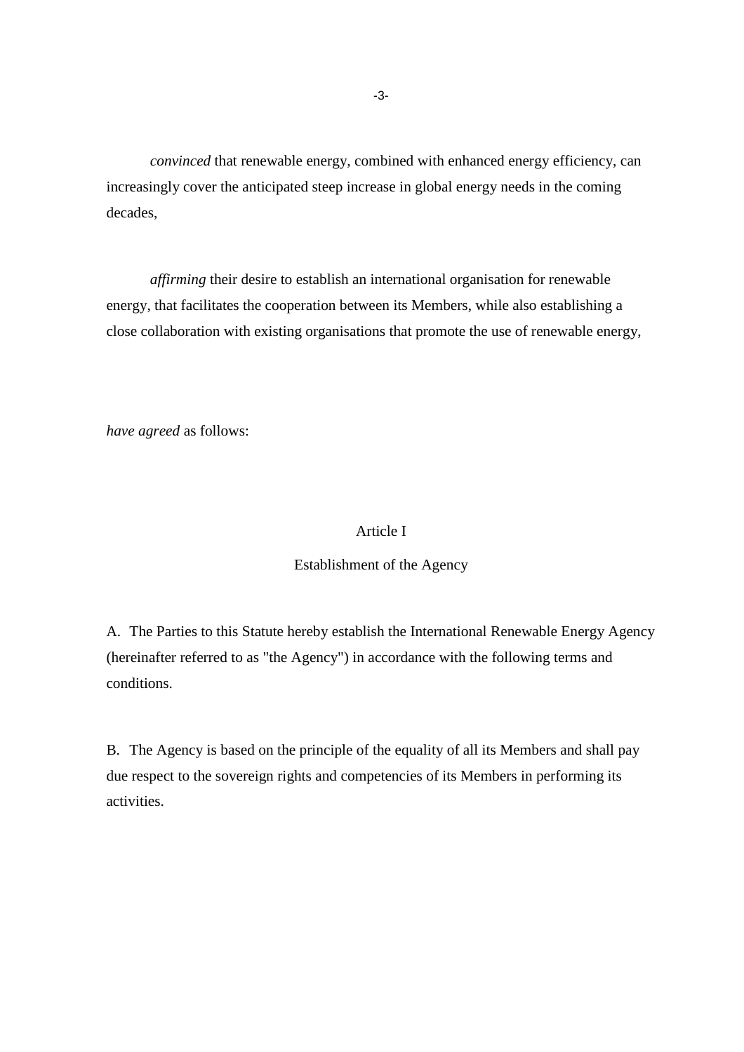*convinced* that renewable energy, combined with enhanced energy efficiency, can increasingly cover the anticipated steep increase in global energy needs in the coming decades,

*affirming* their desire to establish an international organisation for renewable energy, that facilitates the cooperation between its Members, while also establishing a close collaboration with existing organisations that promote the use of renewable energy,

*have agreed* as follows:

### Article I

#### Establishment of the Agency

A. The Parties to this Statute hereby establish the International Renewable Energy Agency (hereinafter referred to as "the Agency") in accordance with the following terms and conditions.

B. The Agency is based on the principle of the equality of all its Members and shall pay due respect to the sovereign rights and competencies of its Members in performing its activities.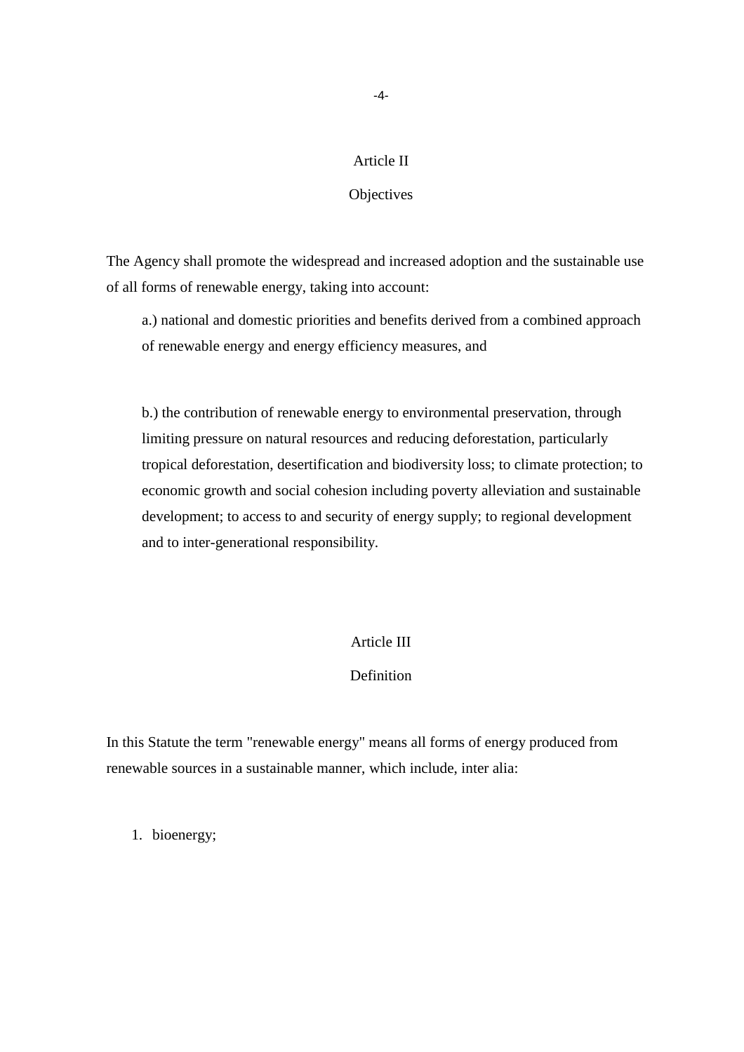### Article II

### **Objectives**

The Agency shall promote the widespread and increased adoption and the sustainable use of all forms of renewable energy, taking into account:

a.) national and domestic priorities and benefits derived from a combined approach of renewable energy and energy efficiency measures, and

b.) the contribution of renewable energy to environmental preservation, through limiting pressure on natural resources and reducing deforestation, particularly tropical deforestation, desertification and biodiversity loss; to climate protection; to economic growth and social cohesion including poverty alleviation and sustainable development; to access to and security of energy supply; to regional development and to inter-generational responsibility.

#### Article III

### Definition

In this Statute the term "renewable energy" means all forms of energy produced from renewable sources in a sustainable manner, which include, inter alia:

1. bioenergy;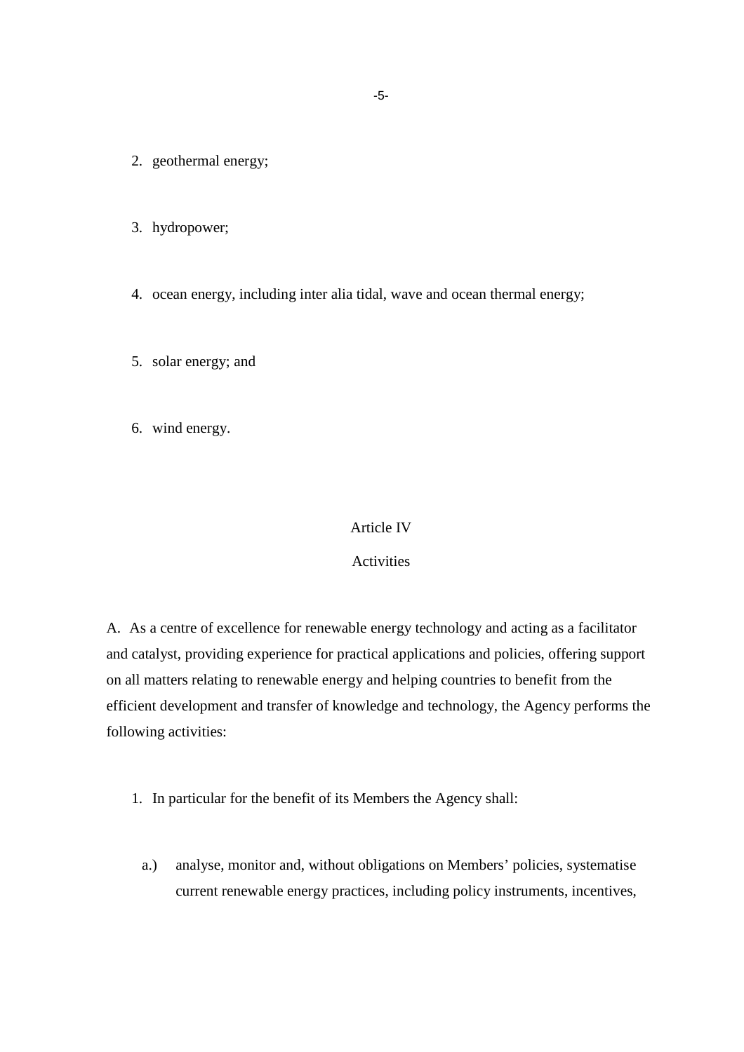- 2. geothermal energy;
- 3. hydropower;
- 4. ocean energy, including inter alia tidal, wave and ocean thermal energy;
- 5. solar energy; and
- 6. wind energy.

#### Article IV

### Activities

A. As a centre of excellence for renewable energy technology and acting as a facilitator and catalyst, providing experience for practical applications and policies, offering support on all matters relating to renewable energy and helping countries to benefit from the efficient development and transfer of knowledge and technology, the Agency performs the following activities:

- 1. In particular for the benefit of its Members the Agency shall:
	- a.) analyse, monitor and, without obligations on Members' policies, systematise current renewable energy practices, including policy instruments, incentives,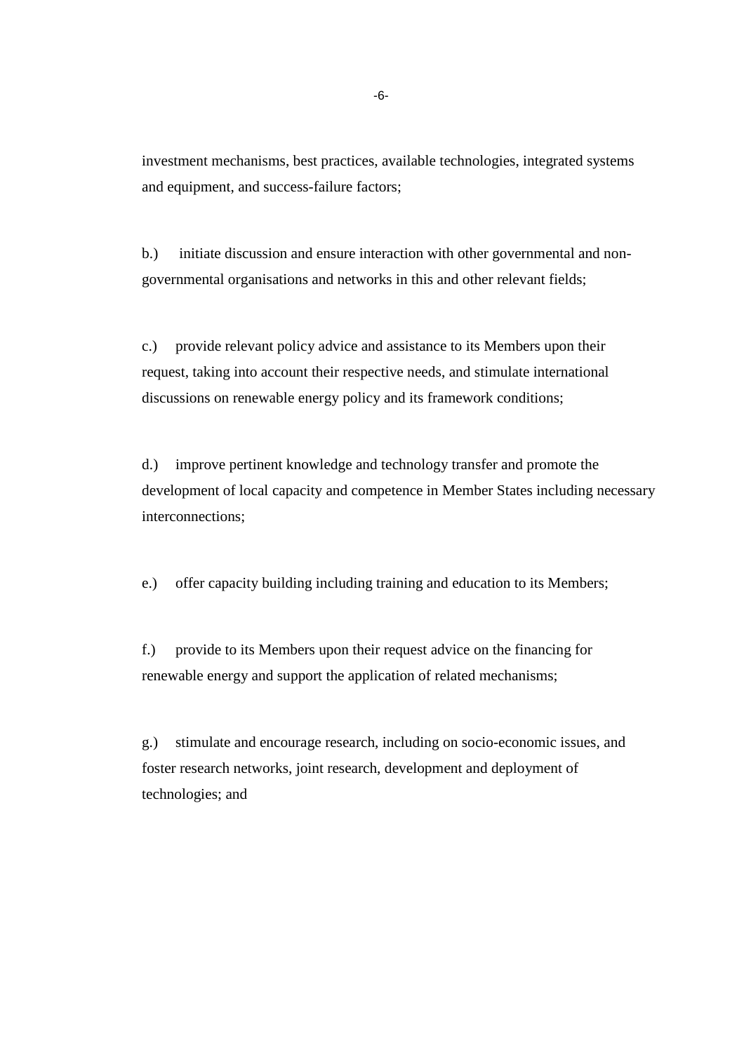investment mechanisms, best practices, available technologies, integrated systems and equipment, and success-failure factors;

b.) initiate discussion and ensure interaction with other governmental and nongovernmental organisations and networks in this and other relevant fields;

c.) provide relevant policy advice and assistance to its Members upon their request, taking into account their respective needs, and stimulate international discussions on renewable energy policy and its framework conditions;

d.) improve pertinent knowledge and technology transfer and promote the development of local capacity and competence in Member States including necessary interconnections;

e.) offer capacity building including training and education to its Members;

f.) provide to its Members upon their request advice on the financing for renewable energy and support the application of related mechanisms;

g.) stimulate and encourage research, including on socio-economic issues, and foster research networks, joint research, development and deployment of technologies; and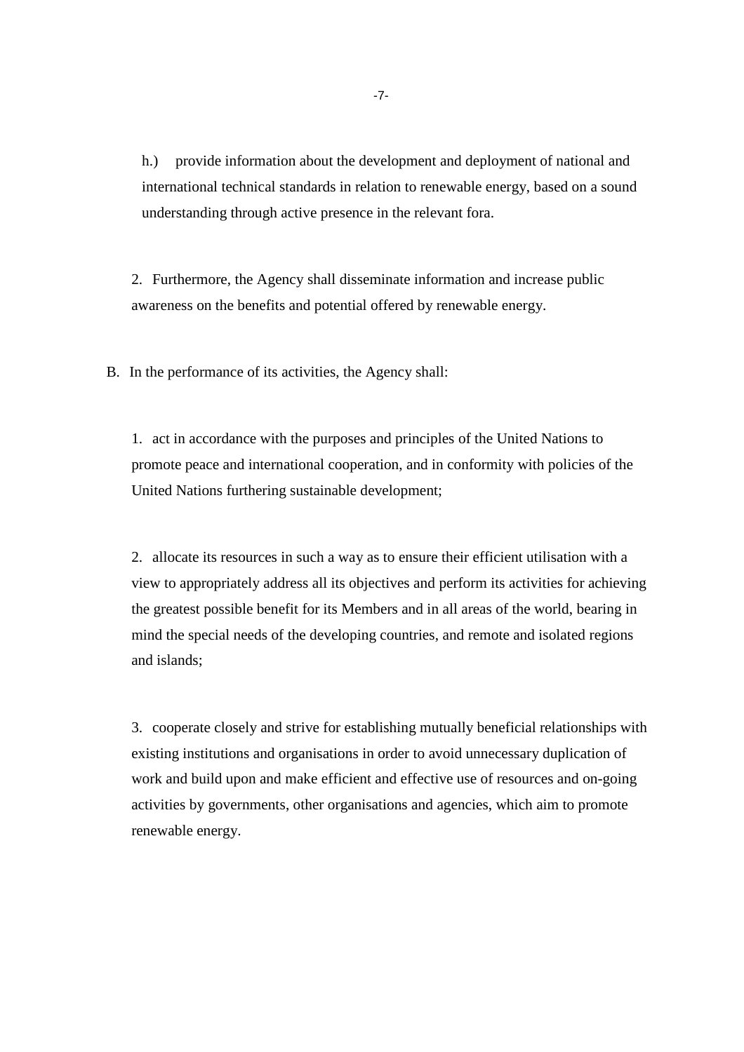h.) provide information about the development and deployment of national and international technical standards in relation to renewable energy, based on a sound understanding through active presence in the relevant fora.

2. Furthermore, the Agency shall disseminate information and increase public awareness on the benefits and potential offered by renewable energy.

B. In the performance of its activities, the Agency shall:

1. act in accordance with the purposes and principles of the United Nations to promote peace and international cooperation, and in conformity with policies of the United Nations furthering sustainable development;

2. allocate its resources in such a way as to ensure their efficient utilisation with a view to appropriately address all its objectives and perform its activities for achieving the greatest possible benefit for its Members and in all areas of the world, bearing in mind the special needs of the developing countries, and remote and isolated regions and islands;

3. cooperate closely and strive for establishing mutually beneficial relationships with existing institutions and organisations in order to avoid unnecessary duplication of work and build upon and make efficient and effective use of resources and on-going activities by governments, other organisations and agencies, which aim to promote renewable energy.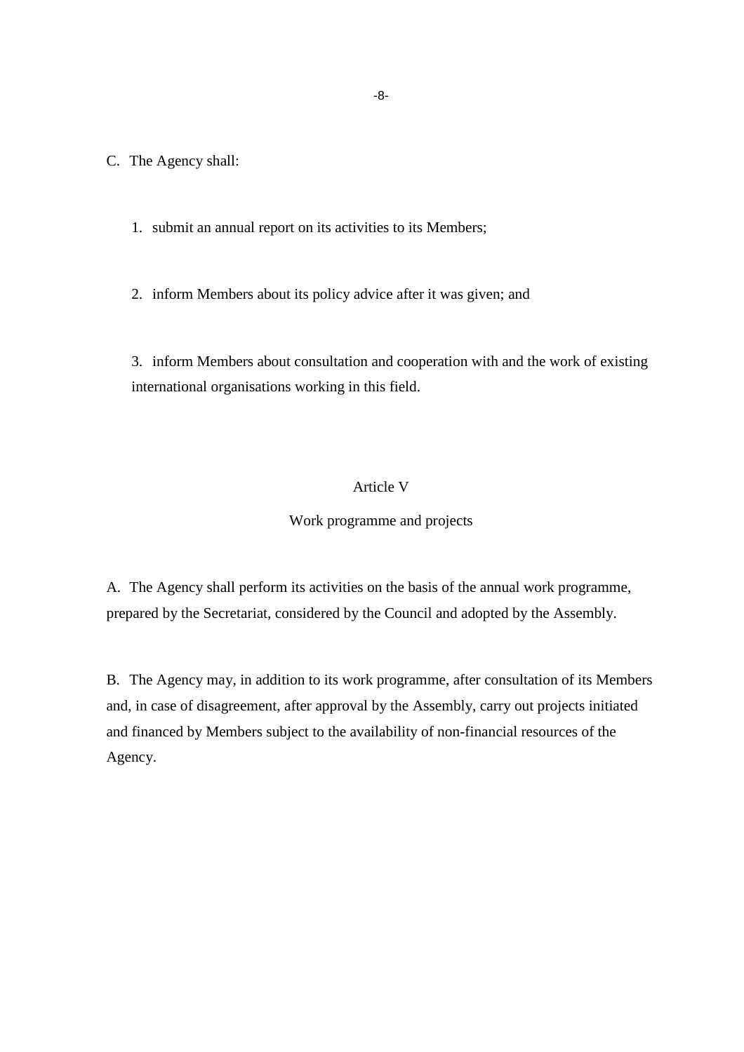C. The Agency shall:

1. submit an annual report on its activities to its Members;

2. inform Members about its policy advice after it was given; and

3. inform Members about consultation and cooperation with and the work of existing international organisations working in this field.

# Article V

### Work programme and projects

A. The Agency shall perform its activities on the basis of the annual work programme, prepared by the Secretariat, considered by the Council and adopted by the Assembly.

B. The Agency may, in addition to its work programme, after consultation of its Members and, in case of disagreement, after approval by the Assembly, carry out projects initiated and financed by Members subject to the availability of non-financial resources of the Agency.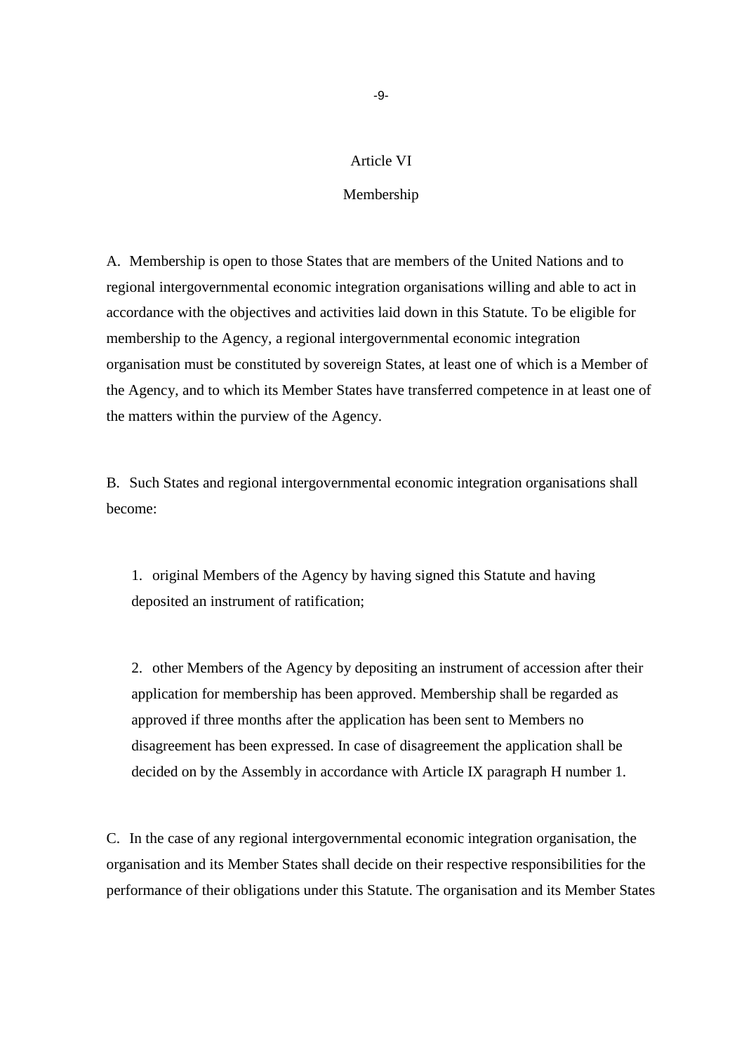### Article VI

### Membership

A. Membership is open to those States that are members of the United Nations and to regional intergovernmental economic integration organisations willing and able to act in accordance with the objectives and activities laid down in this Statute. To be eligible for membership to the Agency, a regional intergovernmental economic integration organisation must be constituted by sovereign States, at least one of which is a Member of the Agency, and to which its Member States have transferred competence in at least one of the matters within the purview of the Agency.

B. Such States and regional intergovernmental economic integration organisations shall become:

1. original Members of the Agency by having signed this Statute and having deposited an instrument of ratification;

2. other Members of the Agency by depositing an instrument of accession after their application for membership has been approved. Membership shall be regarded as approved if three months after the application has been sent to Members no disagreement has been expressed. In case of disagreement the application shall be decided on by the Assembly in accordance with Article IX paragraph H number 1.

C. In the case of any regional intergovernmental economic integration organisation, the organisation and its Member States shall decide on their respective responsibilities for the performance of their obligations under this Statute. The organisation and its Member States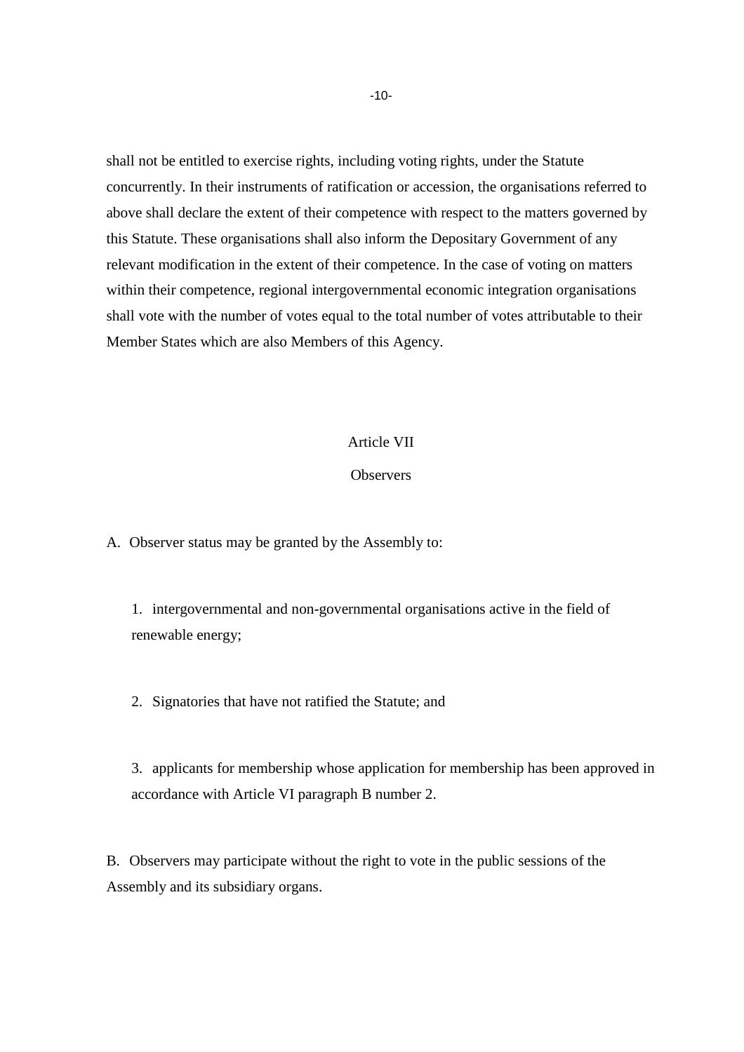shall not be entitled to exercise rights, including voting rights, under the Statute concurrently. In their instruments of ratification or accession, the organisations referred to above shall declare the extent of their competence with respect to the matters governed by this Statute. These organisations shall also inform the Depositary Government of any relevant modification in the extent of their competence. In the case of voting on matters within their competence, regional intergovernmental economic integration organisations shall vote with the number of votes equal to the total number of votes attributable to their Member States which are also Members of this Agency.

#### Article VII

#### **Observers**

A. Observer status may be granted by the Assembly to:

1. intergovernmental and non-governmental organisations active in the field of renewable energy;

2. Signatories that have not ratified the Statute; and

3. applicants for membership whose application for membership has been approved in accordance with Article VI paragraph B number 2.

B. Observers may participate without the right to vote in the public sessions of the Assembly and its subsidiary organs.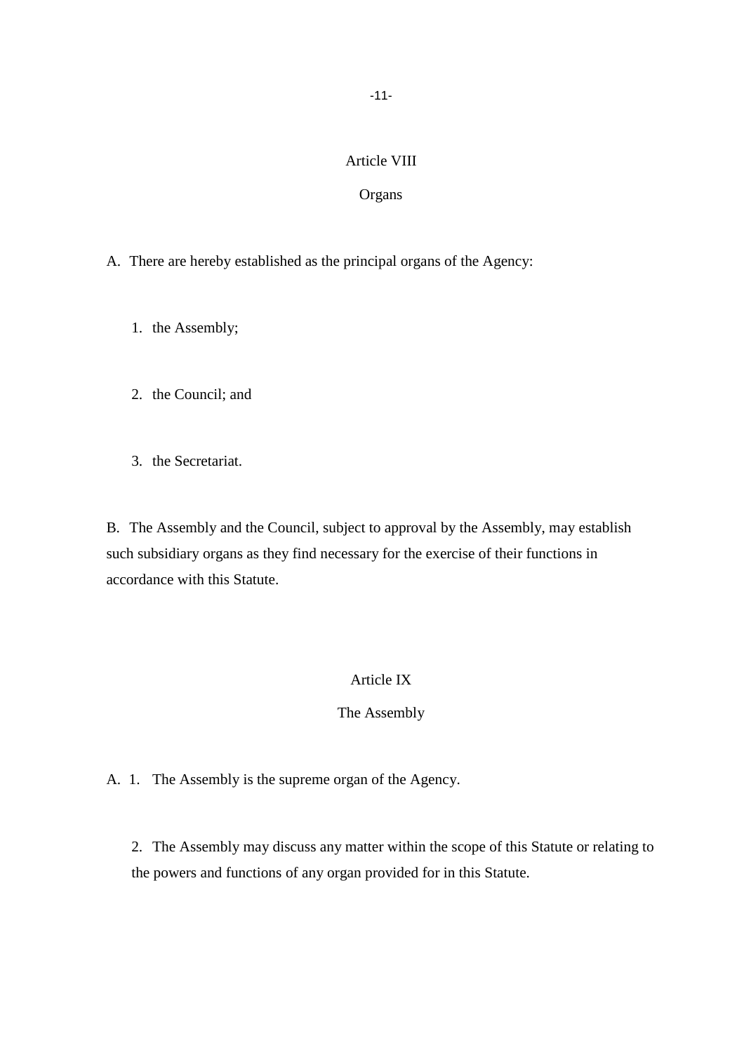# Article VIII

### **Organs**

- A. There are hereby established as the principal organs of the Agency:
	- 1. the Assembly;
	- 2. the Council; and
	- 3. the Secretariat.

B. The Assembly and the Council, subject to approval by the Assembly, may establish such subsidiary organs as they find necessary for the exercise of their functions in accordance with this Statute.

# Article IX

### The Assembly

A. 1. The Assembly is the supreme organ of the Agency.

2. The Assembly may discuss any matter within the scope of this Statute or relating to the powers and functions of any organ provided for in this Statute.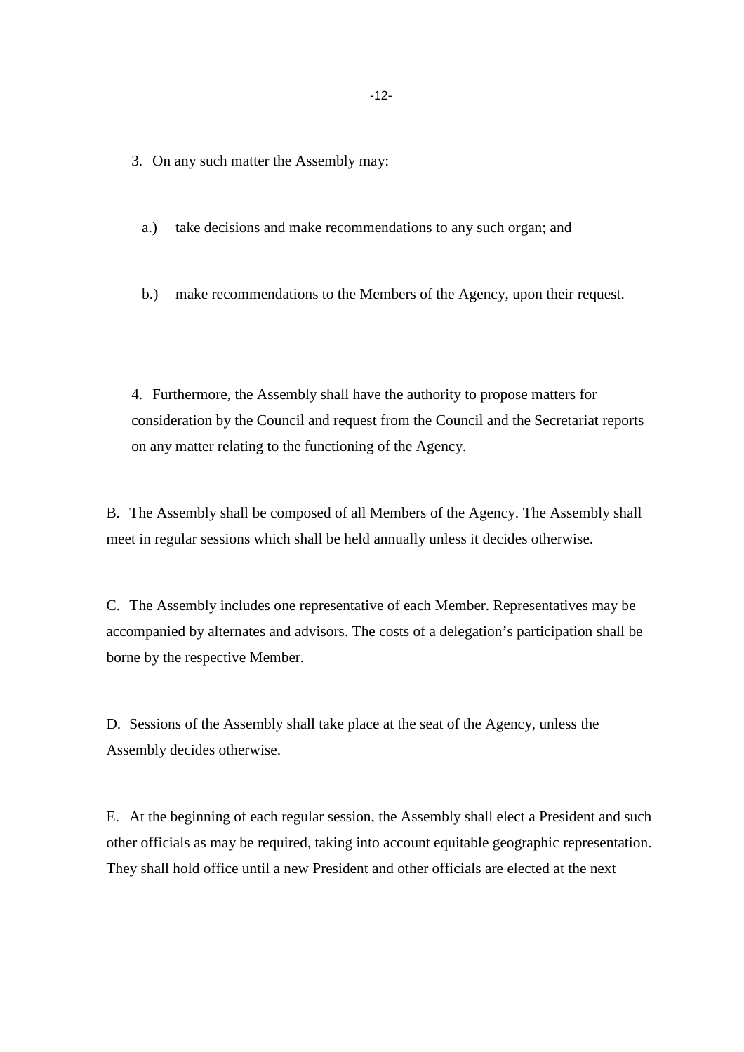3. On any such matter the Assembly may:

a.) take decisions and make recommendations to any such organ; and

b.) make recommendations to the Members of the Agency, upon their request.

4. Furthermore, the Assembly shall have the authority to propose matters for consideration by the Council and request from the Council and the Secretariat reports on any matter relating to the functioning of the Agency.

B. The Assembly shall be composed of all Members of the Agency. The Assembly shall meet in regular sessions which shall be held annually unless it decides otherwise.

C. The Assembly includes one representative of each Member. Representatives may be accompanied by alternates and advisors. The costs of a delegation's participation shall be borne by the respective Member.

D. Sessions of the Assembly shall take place at the seat of the Agency, unless the Assembly decides otherwise.

E. At the beginning of each regular session, the Assembly shall elect a President and such other officials as may be required, taking into account equitable geographic representation. They shall hold office until a new President and other officials are elected at the next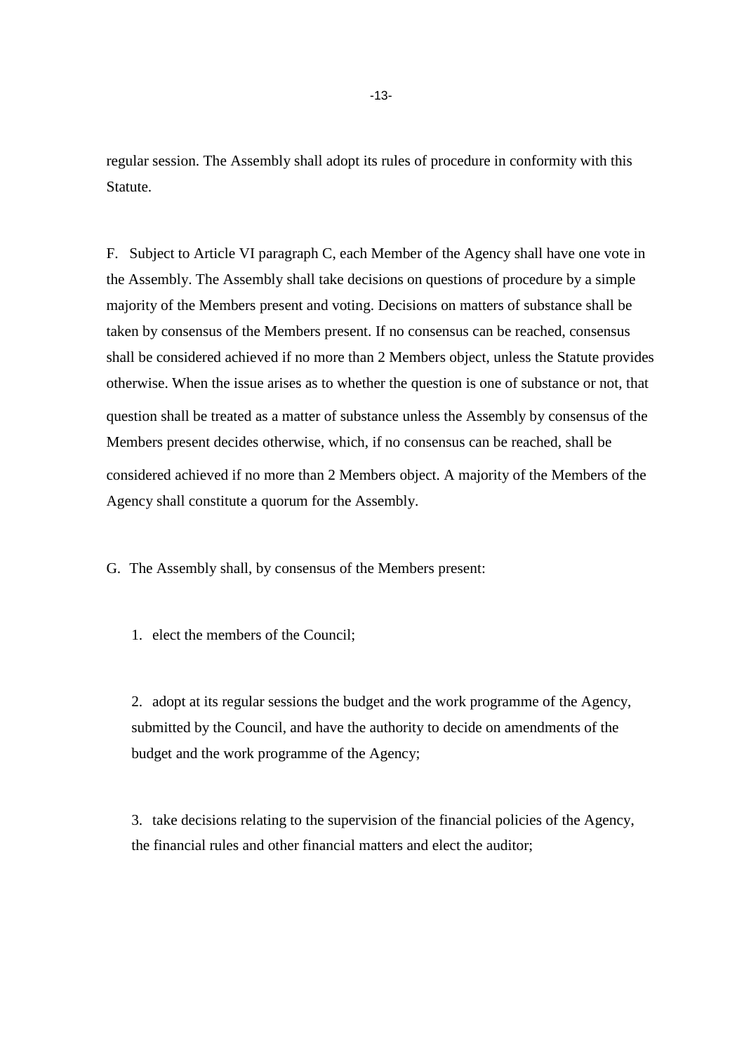regular session. The Assembly shall adopt its rules of procedure in conformity with this Statute.

F. Subject to Article VI paragraph C, each Member of the Agency shall have one vote in the Assembly. The Assembly shall take decisions on questions of procedure by a simple majority of the Members present and voting. Decisions on matters of substance shall be taken by consensus of the Members present. If no consensus can be reached, consensus shall be considered achieved if no more than 2 Members object, unless the Statute provides otherwise. When the issue arises as to whether the question is one of substance or not, that question shall be treated as a matter of substance unless the Assembly by consensus of the Members present decides otherwise, which, if no consensus can be reached, shall be considered achieved if no more than 2 Members object. A majority of the Members of the Agency shall constitute a quorum for the Assembly.

G. The Assembly shall, by consensus of the Members present:

1. elect the members of the Council;

2. adopt at its regular sessions the budget and the work programme of the Agency, submitted by the Council, and have the authority to decide on amendments of the budget and the work programme of the Agency;

3. take decisions relating to the supervision of the financial policies of the Agency, the financial rules and other financial matters and elect the auditor;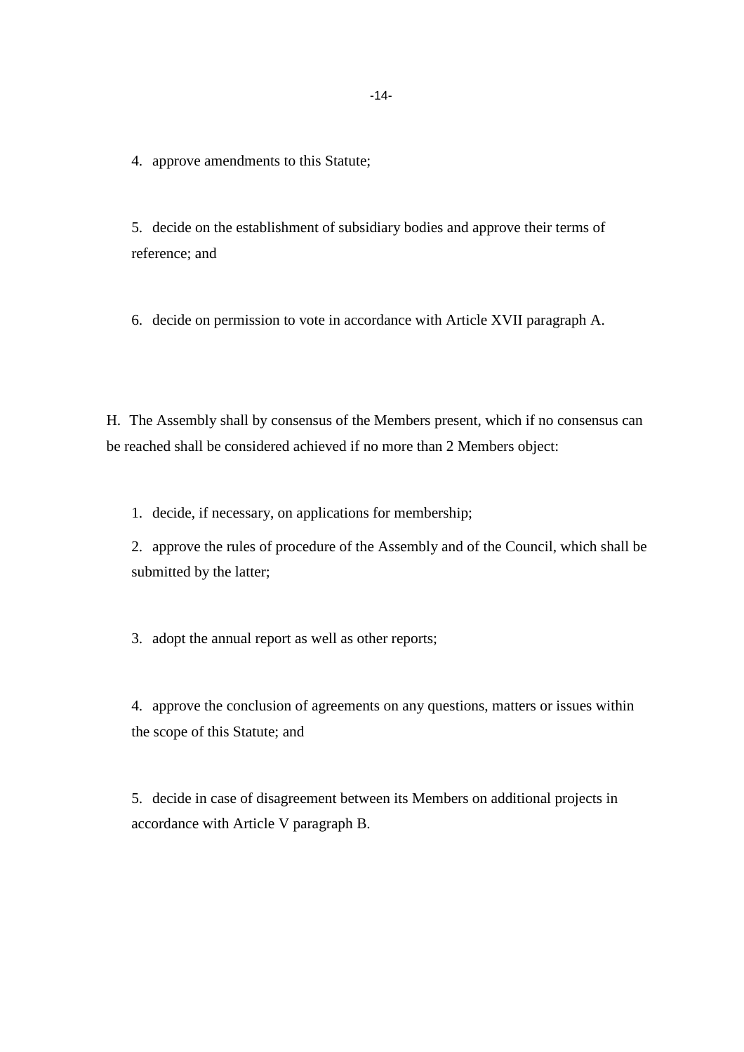4. approve amendments to this Statute;

5. decide on the establishment of subsidiary bodies and approve their terms of reference; and

6. decide on permission to vote in accordance with Article XVII paragraph A.

H. The Assembly shall by consensus of the Members present, which if no consensus can be reached shall be considered achieved if no more than 2 Members object:

1. decide, if necessary, on applications for membership;

2. approve the rules of procedure of the Assembly and of the Council, which shall be submitted by the latter;

3. adopt the annual report as well as other reports;

4. approve the conclusion of agreements on any questions, matters or issues within the scope of this Statute; and

5. decide in case of disagreement between its Members on additional projects in accordance with Article V paragraph B.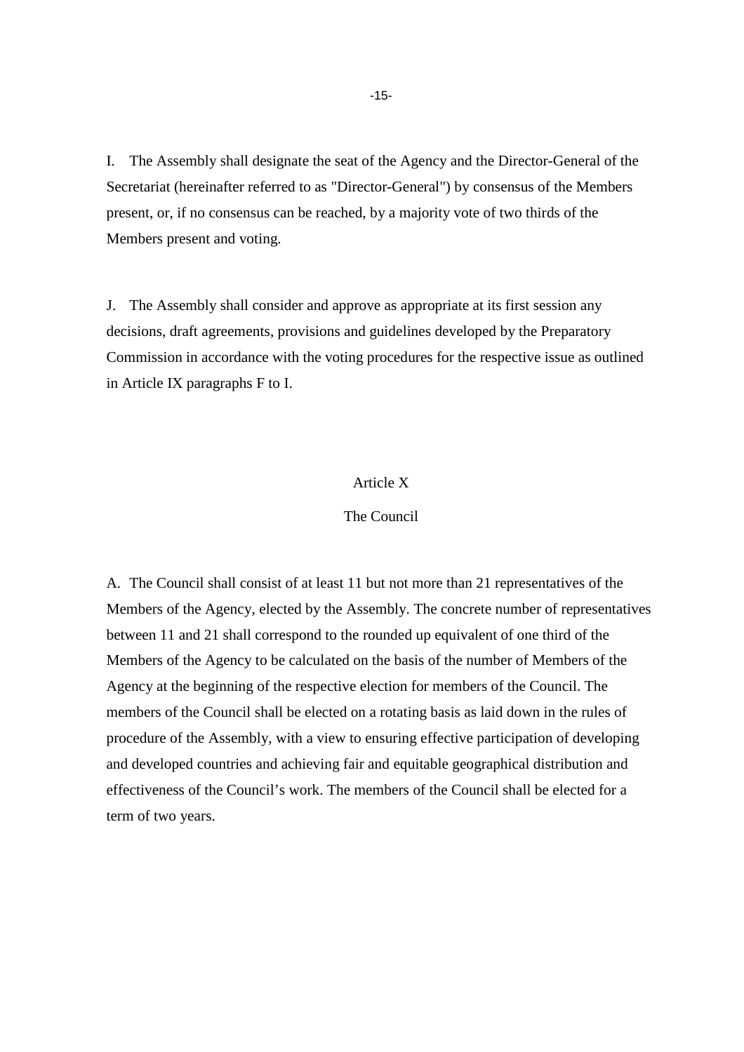I. The Assembly shall designate the seat of the Agency and the Director-General of the Secretariat (hereinafter referred to as "Director-General") by consensus of the Members present, or, if no consensus can be reached, by a majority vote of two thirds of the Members present and voting.

J. The Assembly shall consider and approve as appropriate at its first session any decisions, draft agreements, provisions and guidelines developed by the Preparatory Commission in accordance with the voting procedures for the respective issue as outlined in Article IX paragraphs F to I.

#### Article X

#### The Council

A. The Council shall consist of at least 11 but not more than 21 representatives of the Members of the Agency, elected by the Assembly. The concrete number of representatives between 11 and 21 shall correspond to the rounded up equivalent of one third of the Members of the Agency to be calculated on the basis of the number of Members of the Agency at the beginning of the respective election for members of the Council. The members of the Council shall be elected on a rotating basis as laid down in the rules of procedure of the Assembly, with a view to ensuring effective participation of developing and developed countries and achieving fair and equitable geographical distribution and effectiveness of the Council's work. The members of the Council shall be elected for a term of two years.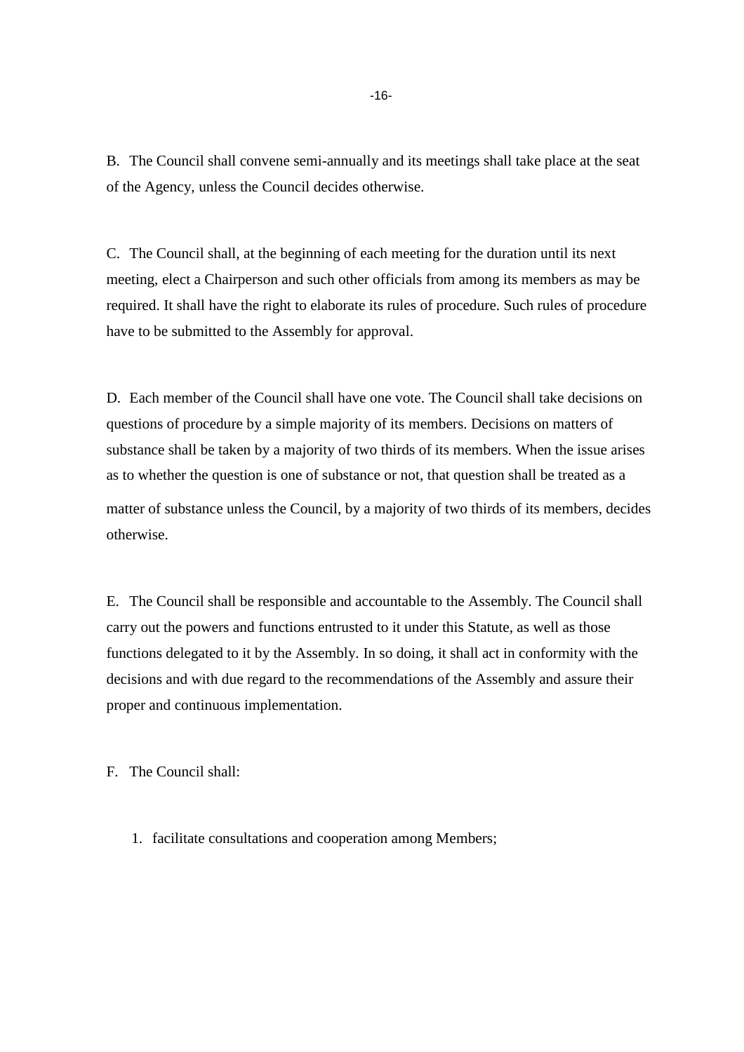B. The Council shall convene semi-annually and its meetings shall take place at the seat of the Agency, unless the Council decides otherwise.

C. The Council shall, at the beginning of each meeting for the duration until its next meeting, elect a Chairperson and such other officials from among its members as may be required. It shall have the right to elaborate its rules of procedure. Such rules of procedure have to be submitted to the Assembly for approval.

D. Each member of the Council shall have one vote. The Council shall take decisions on questions of procedure by a simple majority of its members. Decisions on matters of substance shall be taken by a majority of two thirds of its members. When the issue arises as to whether the question is one of substance or not, that question shall be treated as a matter of substance unless the Council, by a majority of two thirds of its members, decides otherwise.

E. The Council shall be responsible and accountable to the Assembly. The Council shall carry out the powers and functions entrusted to it under this Statute, as well as those functions delegated to it by the Assembly. In so doing, it shall act in conformity with the decisions and with due regard to the recommendations of the Assembly and assure their proper and continuous implementation.

F. The Council shall:

1. facilitate consultations and cooperation among Members;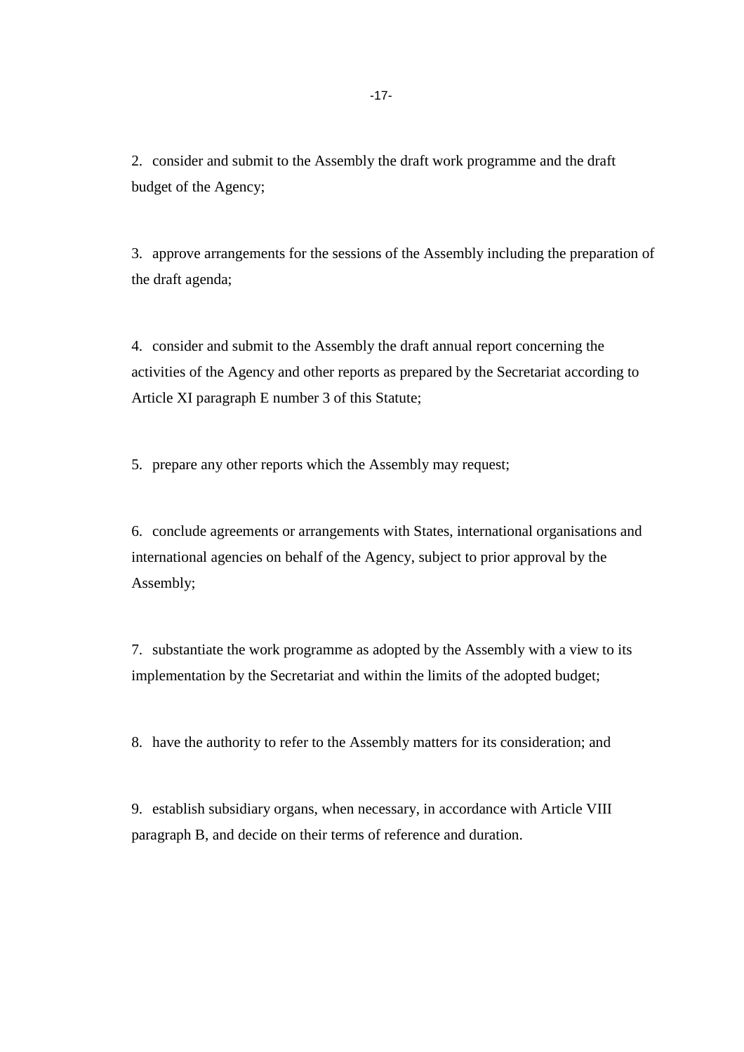2. consider and submit to the Assembly the draft work programme and the draft budget of the Agency;

3. approve arrangements for the sessions of the Assembly including the preparation of the draft agenda;

4. consider and submit to the Assembly the draft annual report concerning the activities of the Agency and other reports as prepared by the Secretariat according to Article XI paragraph E number 3 of this Statute;

5. prepare any other reports which the Assembly may request;

6. conclude agreements or arrangements with States, international organisations and international agencies on behalf of the Agency, subject to prior approval by the Assembly;

7. substantiate the work programme as adopted by the Assembly with a view to its implementation by the Secretariat and within the limits of the adopted budget;

8. have the authority to refer to the Assembly matters for its consideration; and

9. establish subsidiary organs, when necessary, in accordance with Article VIII paragraph B, and decide on their terms of reference and duration.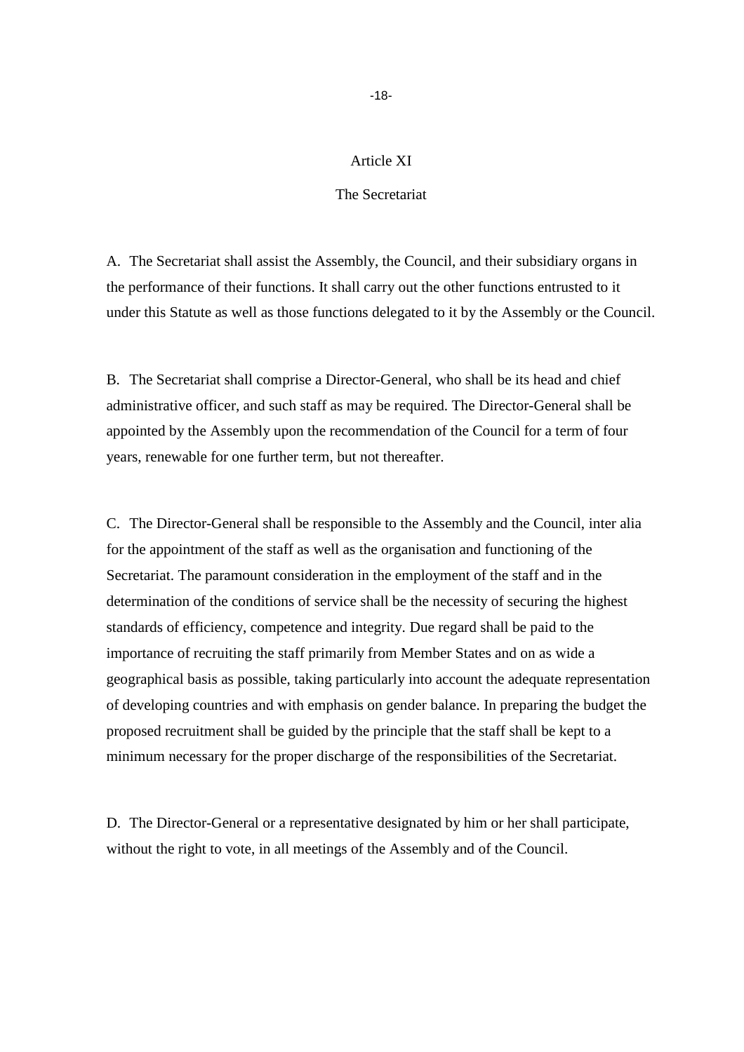### Article XI

#### The Secretariat

A. The Secretariat shall assist the Assembly, the Council, and their subsidiary organs in the performance of their functions. It shall carry out the other functions entrusted to it under this Statute as well as those functions delegated to it by the Assembly or the Council.

B. The Secretariat shall comprise a Director-General, who shall be its head and chief administrative officer, and such staff as may be required. The Director-General shall be appointed by the Assembly upon the recommendation of the Council for a term of four years, renewable for one further term, but not thereafter.

C. The Director-General shall be responsible to the Assembly and the Council, inter alia for the appointment of the staff as well as the organisation and functioning of the Secretariat. The paramount consideration in the employment of the staff and in the determination of the conditions of service shall be the necessity of securing the highest standards of efficiency, competence and integrity. Due regard shall be paid to the importance of recruiting the staff primarily from Member States and on as wide a geographical basis as possible, taking particularly into account the adequate representation of developing countries and with emphasis on gender balance. In preparing the budget the proposed recruitment shall be guided by the principle that the staff shall be kept to a minimum necessary for the proper discharge of the responsibilities of the Secretariat.

D. The Director-General or a representative designated by him or her shall participate, without the right to vote, in all meetings of the Assembly and of the Council.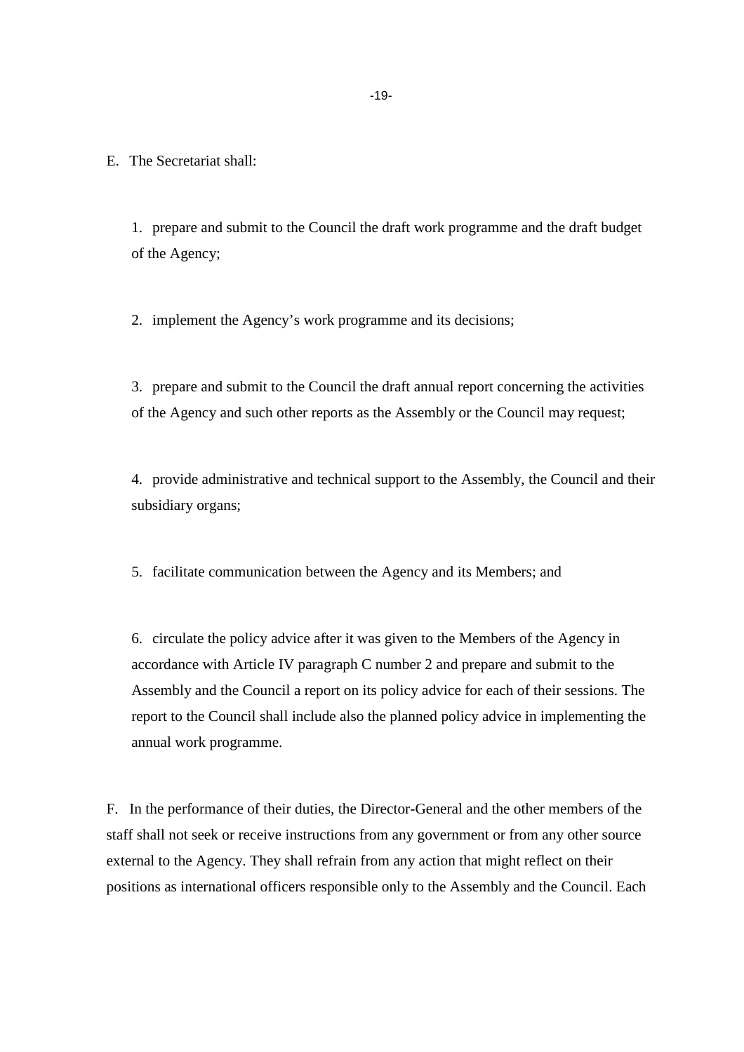E. The Secretariat shall:

1. prepare and submit to the Council the draft work programme and the draft budget of the Agency;

2. implement the Agency's work programme and its decisions;

3. prepare and submit to the Council the draft annual report concerning the activities of the Agency and such other reports as the Assembly or the Council may request;

4. provide administrative and technical support to the Assembly, the Council and their subsidiary organs;

5. facilitate communication between the Agency and its Members; and

6. circulate the policy advice after it was given to the Members of the Agency in accordance with Article IV paragraph C number 2 and prepare and submit to the Assembly and the Council a report on its policy advice for each of their sessions. The report to the Council shall include also the planned policy advice in implementing the annual work programme.

F. In the performance of their duties, the Director-General and the other members of the staff shall not seek or receive instructions from any government or from any other source external to the Agency. They shall refrain from any action that might reflect on their positions as international officers responsible only to the Assembly and the Council. Each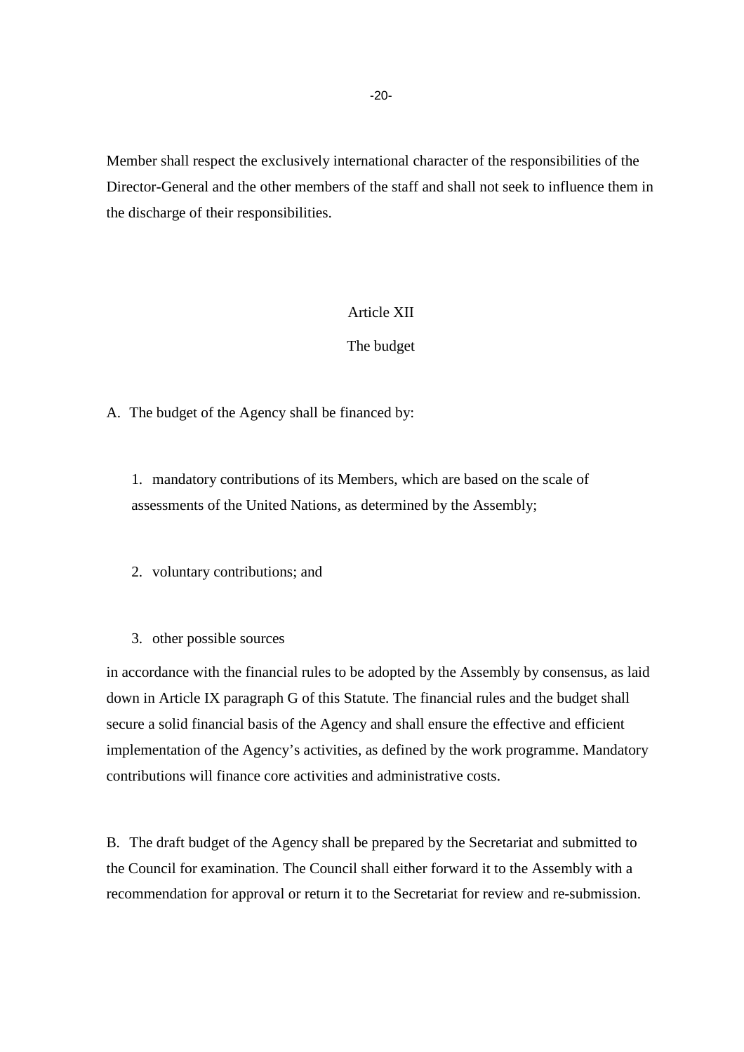Member shall respect the exclusively international character of the responsibilities of the Director-General and the other members of the staff and shall not seek to influence them in the discharge of their responsibilities.

### Article XII

### The budget

A. The budget of the Agency shall be financed by:

1. mandatory contributions of its Members, which are based on the scale of assessments of the United Nations, as determined by the Assembly;

2. voluntary contributions; and

3. other possible sources

in accordance with the financial rules to be adopted by the Assembly by consensus, as laid down in Article IX paragraph G of this Statute. The financial rules and the budget shall secure a solid financial basis of the Agency and shall ensure the effective and efficient implementation of the Agency's activities, as defined by the work programme. Mandatory contributions will finance core activities and administrative costs.

B. The draft budget of the Agency shall be prepared by the Secretariat and submitted to the Council for examination. The Council shall either forward it to the Assembly with a recommendation for approval or return it to the Secretariat for review and re-submission.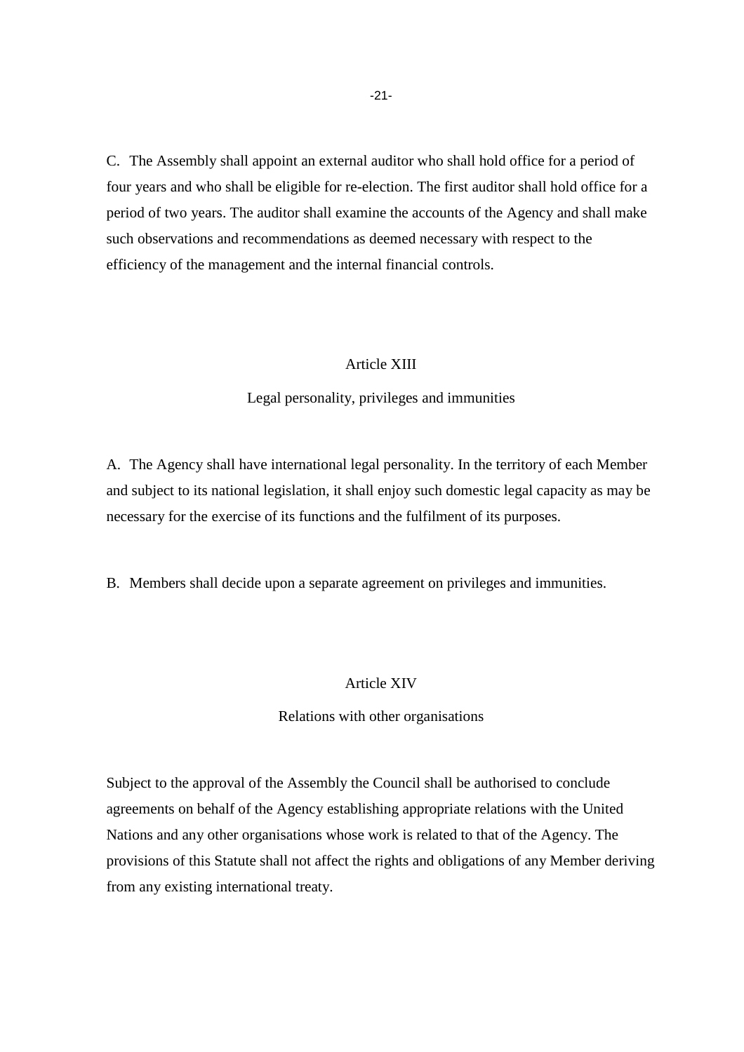C. The Assembly shall appoint an external auditor who shall hold office for a period of four years and who shall be eligible for re-election. The first auditor shall hold office for a period of two years. The auditor shall examine the accounts of the Agency and shall make such observations and recommendations as deemed necessary with respect to the efficiency of the management and the internal financial controls.

### Article XIII

#### Legal personality, privileges and immunities

A. The Agency shall have international legal personality. In the territory of each Member and subject to its national legislation, it shall enjoy such domestic legal capacity as may be necessary for the exercise of its functions and the fulfilment of its purposes.

B. Members shall decide upon a separate agreement on privileges and immunities.

#### Article XIV

#### Relations with other organisations

Subject to the approval of the Assembly the Council shall be authorised to conclude agreements on behalf of the Agency establishing appropriate relations with the United Nations and any other organisations whose work is related to that of the Agency. The provisions of this Statute shall not affect the rights and obligations of any Member deriving from any existing international treaty.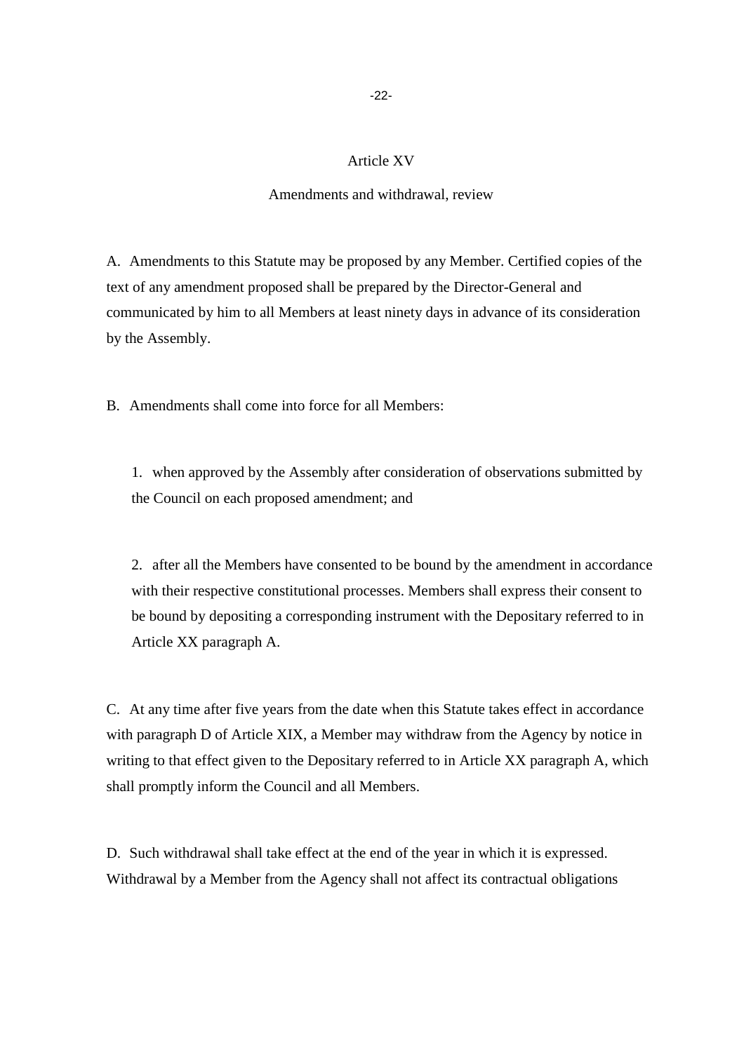### Article XV

#### Amendments and withdrawal, review

A. Amendments to this Statute may be proposed by any Member. Certified copies of the text of any amendment proposed shall be prepared by the Director-General and communicated by him to all Members at least ninety days in advance of its consideration by the Assembly.

B. Amendments shall come into force for all Members:

1. when approved by the Assembly after consideration of observations submitted by the Council on each proposed amendment; and

2. after all the Members have consented to be bound by the amendment in accordance with their respective constitutional processes. Members shall express their consent to be bound by depositing a corresponding instrument with the Depositary referred to in Article XX paragraph A.

C. At any time after five years from the date when this Statute takes effect in accordance with paragraph D of Article XIX, a Member may withdraw from the Agency by notice in writing to that effect given to the Depositary referred to in Article XX paragraph A, which shall promptly inform the Council and all Members.

D. Such withdrawal shall take effect at the end of the year in which it is expressed. Withdrawal by a Member from the Agency shall not affect its contractual obligations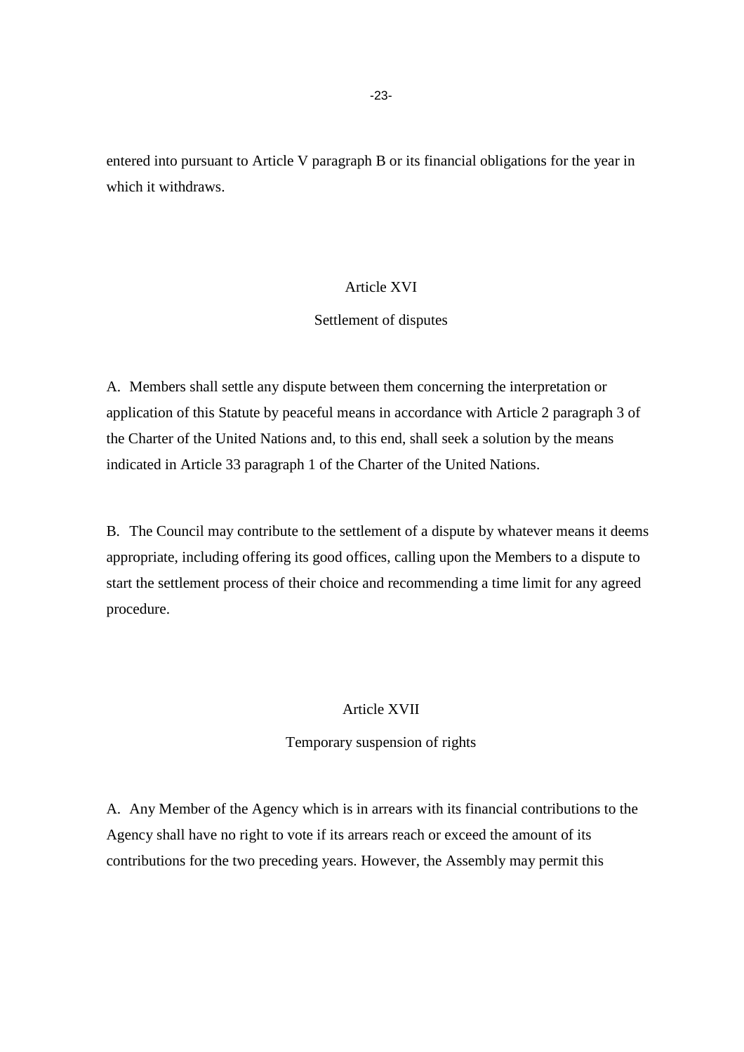entered into pursuant to Article V paragraph B or its financial obligations for the year in which it withdraws.

### Article XVI

#### Settlement of disputes

A. Members shall settle any dispute between them concerning the interpretation or application of this Statute by peaceful means in accordance with Article 2 paragraph 3 of the Charter of the United Nations and, to this end, shall seek a solution by the means indicated in Article 33 paragraph 1 of the Charter of the United Nations.

B. The Council may contribute to the settlement of a dispute by whatever means it deems appropriate, including offering its good offices, calling upon the Members to a dispute to start the settlement process of their choice and recommending a time limit for any agreed procedure.

### Article XVII

### Temporary suspension of rights

A. Any Member of the Agency which is in arrears with its financial contributions to the Agency shall have no right to vote if its arrears reach or exceed the amount of its contributions for the two preceding years. However, the Assembly may permit this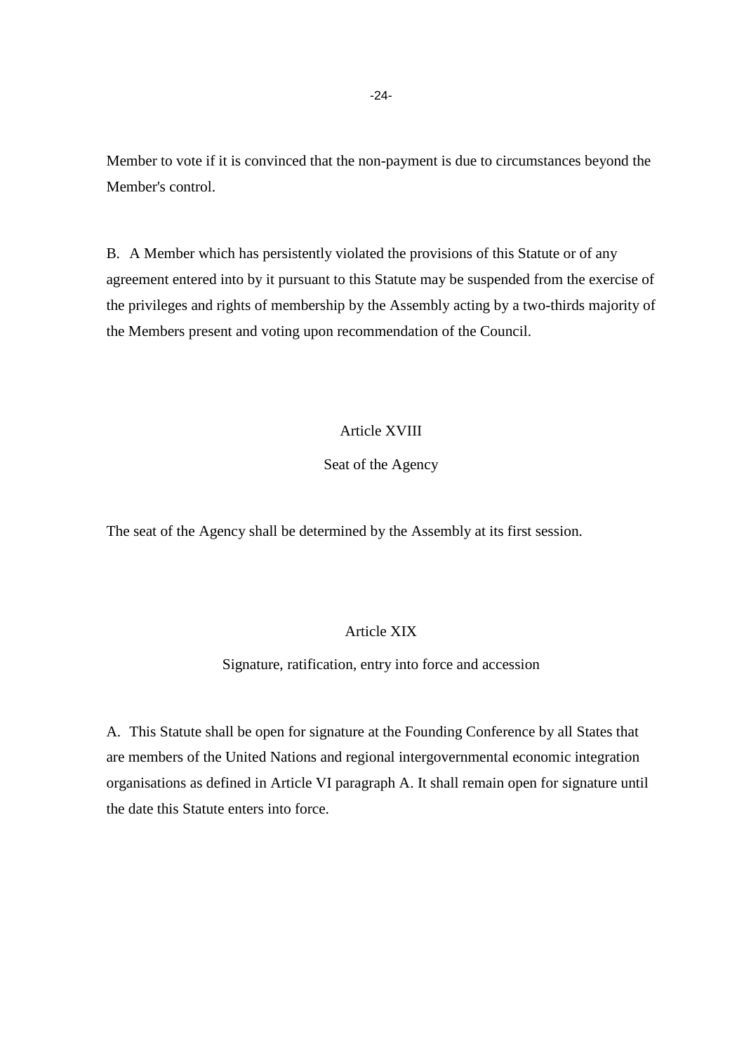Member to vote if it is convinced that the non-payment is due to circumstances beyond the Member's control.

B. A Member which has persistently violated the provisions of this Statute or of any agreement entered into by it pursuant to this Statute may be suspended from the exercise of the privileges and rights of membership by the Assembly acting by a two-thirds majority of the Members present and voting upon recommendation of the Council.

# Article XVIII

### Seat of the Agency

The seat of the Agency shall be determined by the Assembly at its first session.

### Article XIX

# Signature, ratification, entry into force and accession

A. This Statute shall be open for signature at the Founding Conference by all States that are members of the United Nations and regional intergovernmental economic integration organisations as defined in Article VI paragraph A. It shall remain open for signature until the date this Statute enters into force.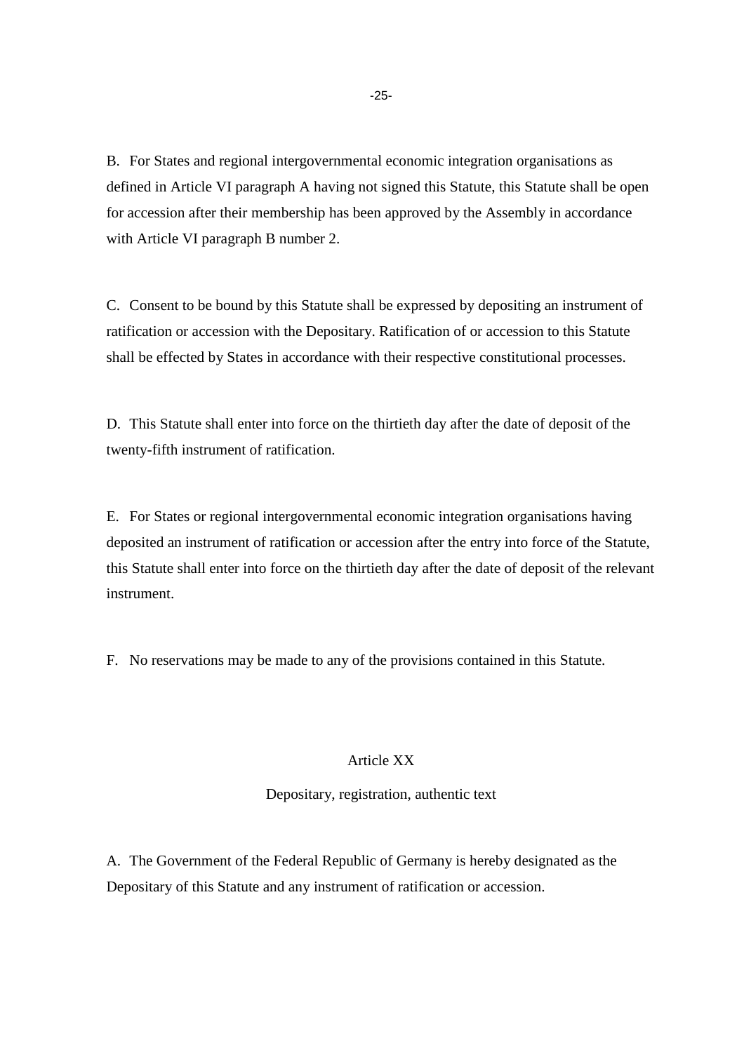B. For States and regional intergovernmental economic integration organisations as defined in Article VI paragraph A having not signed this Statute, this Statute shall be open for accession after their membership has been approved by the Assembly in accordance with Article VI paragraph B number 2.

C. Consent to be bound by this Statute shall be expressed by depositing an instrument of ratification or accession with the Depositary. Ratification of or accession to this Statute shall be effected by States in accordance with their respective constitutional processes.

D. This Statute shall enter into force on the thirtieth day after the date of deposit of the twenty-fifth instrument of ratification.

E. For States or regional intergovernmental economic integration organisations having deposited an instrument of ratification or accession after the entry into force of the Statute, this Statute shall enter into force on the thirtieth day after the date of deposit of the relevant instrument.

F. No reservations may be made to any of the provisions contained in this Statute.

### Article XX

Depositary, registration, authentic text

A. The Government of the Federal Republic of Germany is hereby designated as the Depositary of this Statute and any instrument of ratification or accession.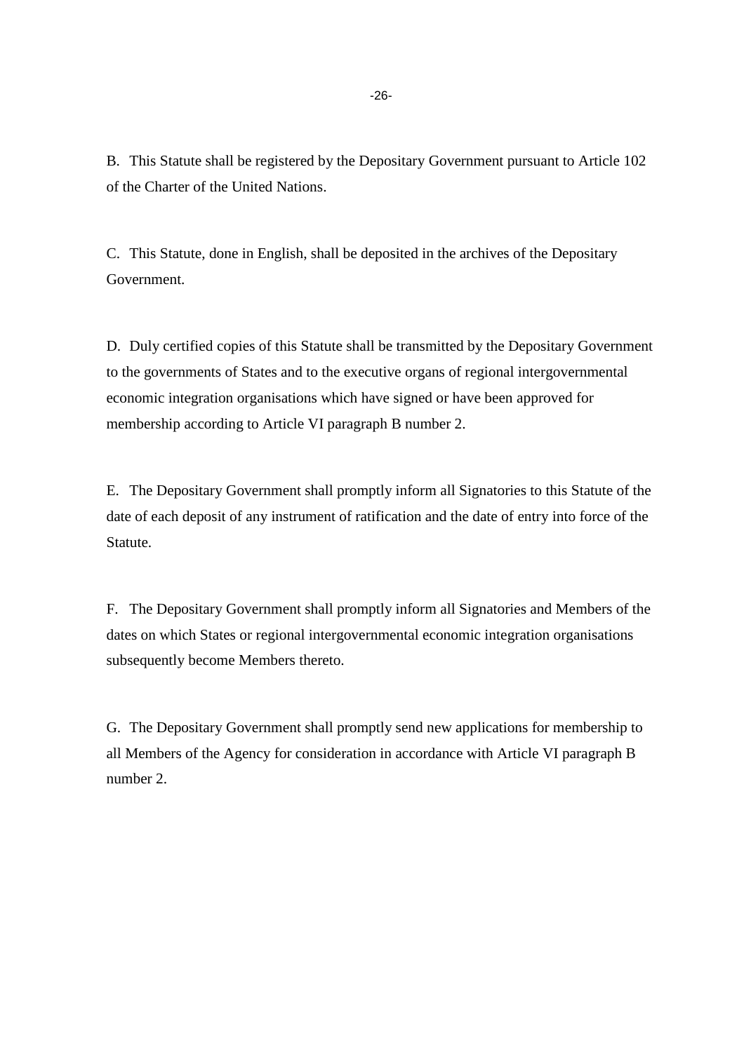B. This Statute shall be registered by the Depositary Government pursuant to Article 102 of the Charter of the United Nations.

C. This Statute, done in English, shall be deposited in the archives of the Depositary Government.

D. Duly certified copies of this Statute shall be transmitted by the Depositary Government to the governments of States and to the executive organs of regional intergovernmental economic integration organisations which have signed or have been approved for membership according to Article VI paragraph B number 2.

E. The Depositary Government shall promptly inform all Signatories to this Statute of the date of each deposit of any instrument of ratification and the date of entry into force of the Statute.

F. The Depositary Government shall promptly inform all Signatories and Members of the dates on which States or regional intergovernmental economic integration organisations subsequently become Members thereto.

G. The Depositary Government shall promptly send new applications for membership to all Members of the Agency for consideration in accordance with Article VI paragraph B number 2.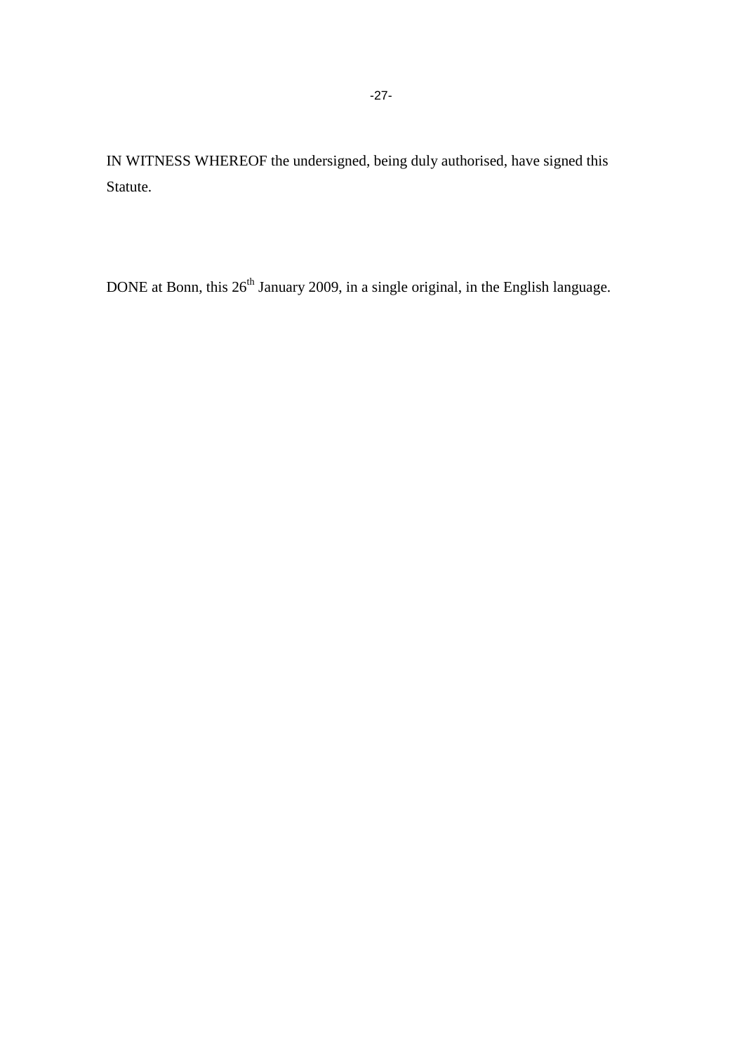IN WITNESS WHEREOF the undersigned, being duly authorised, have signed this Statute.

DONE at Bonn, this 26<sup>th</sup> January 2009, in a single original, in the English language.